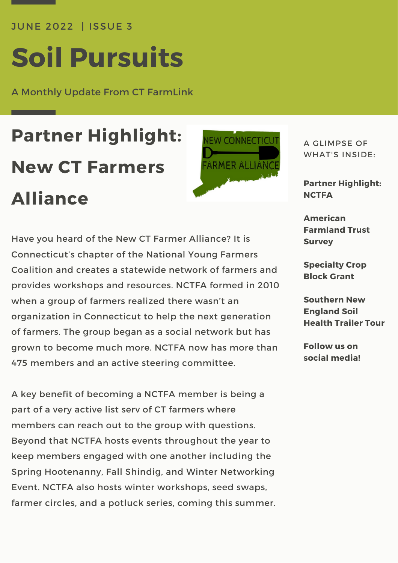JUNE 2022 | ISSUE 3

# **Soil Pursuits**

A Monthly Update From CT FarmLink

## **Partner Highlight: New CT Farmers Alliance**



Have you heard of the New CT Farmer Alliance? It is Connecticut's chapter of the National Young Farmers Coalition and creates a statewide network of farmers and provides workshops and resources. NCTFA formed in 2010 when a group of farmers realized there wasn't an organization in Connecticut to help the next generation of farmers. The group began as a social network but has grown to become much more. NCTFA now has more than 475 members and an active steering committee.

A key benefit of becoming a NCTFA member is being a part of a very active list serv of CT farmers where members can reach out to the group with questions. Beyond that NCTFA hosts events throughout the year to keep members engaged with one another including the Spring Hootenanny, Fall Shindig, and Winter Networking Event. NCTFA also hosts winter workshops, seed swaps, farmer circles, and a potluck series, coming this summer. A GLIMPSE OF WHAT'S INSIDE:

**Partner Highlight: NCTFA**

**American Farmland Trust Survey**

**Specialty Crop Block Grant**

**Southern New England Soil Health Trailer Tour**

**Follow us on social media!**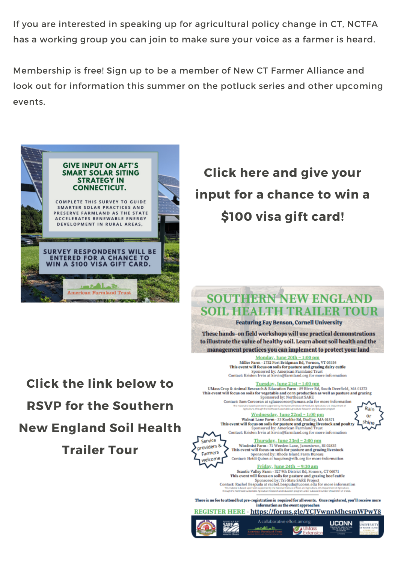If you are interested in speaking up for agricultural policy change in CT. NCTFA has a working group you can join to make sure your voice as a farmer is heard.

Membership is free! Sign up to be a member of New CT Farmer Alliance and look out for information this summer on the potluck series and other upcoming events.



**Click the link below to** 

**RSVP for the Southern** 

**New England Soil Health** 

**Trailer Tour** 

### **Click here and give your** input for a chance to win a \$100 visa gift card!

### **SOUTHERN NEW ENGLANI** SOIL HEALTH TRAILER TOUR

**Featuring Fay Benson, Cornell University** 

These hands-on field workshops will use practical demonstrations to illustrate the value of healthy soil. Learn about soil health and the management practices you can implement to protect your land

> Monday, June 20th ~ 1:00 pm<br>Miller Farm - 1732 Fort Bridgman Rd, Vernon, VT 05354 This event will focus on soils for pasture and grazing dairy cattle<br>Sponsored by: American Farmland Trust<br>Contact: Kristen Irvin at kirvin@farmland.org for more information

 $\frac{\texttt{Tuesday}, \texttt{June 21st} \sim 1;00\ \texttt{pm}}{\texttt{UMass Group 8: Animal Research & Education Farm - 89 River Rd, South Deerfield}, MA 01373}$ This event will focus on soils for vegetable and corn production as well as pasture and grazing<br>Sponsored by: Northeast SARE<br>Contact: Sam Corcoran at sglazecorcor@umass.edu for more information

Wednesday, June 22nd ~ 1:00 pm<br>Walnut Lane Farm - 33 Koebke Rd, Dudley, MA 01571 This event will focus on soils for pasture and grazing livestock and poultry Sponsored by: American Farmland Trust Contact: Kristen Irvin at kirvin@farmland.org for more information



NIVERSIT

**UCONN** 

Thursday, June 23rd ~ 2:00 pm Windmist Farm - 71 Weeden Lane, Jamestown, RI 02835<br>This event will focus on soils for pasture and grazing livestock<br>Sponsored by: Rhode Island Farm Bureau Contact: Heidi Quinn at haquinn@rifb.org for more information

Friday, June 24th ~ 9:30 am Scantic Valley Farm - 327 9th District Rd, Somers, CT 06071 This event will focus on soils for pasture and grazing beef cattle<br>Sponsored by: Tri-State SARE Project<br>Contact: Rachel Bespuda at rachel.bespudage.com.edu for more information<br>National Section of the content of the proper

There is no fee to attend but pre-registration is required for all events. Once registered, you'll receive more information as the event approaches

#### REGISTER HERE - https://forms.gle/YCJVwnnMhcsmWPwY8 A collaborative effort among:

 $\mathcal{L}_{\text{Ext}}$ 

تلملاهم



Service

providers &

Farmers welcome